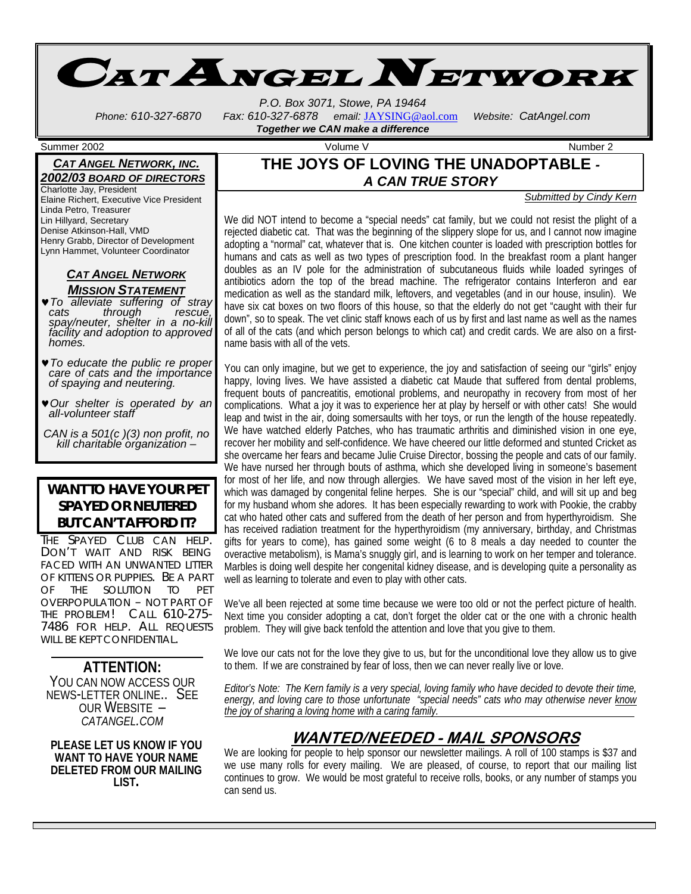

*P.O. Box 3071, Stowe, PA 19464 Phone: 610-327-6870 Fax: 610-327-6878 email:* JAYSING@aol.com *Website: CatAngel.com* 

# *Together we CAN make a difference*

### **THE JOYS OF LOVING THE UNADOPTABLE** *- A CAN TRUE STORY*

#### *Submitted by Cindy Kern*

We did NOT intend to become a "special needs" cat family, but we could not resist the plight of a rejected diabetic cat. That was the beginning of the slippery slope for us, and I cannot now imagine adopting a "normal" cat, whatever that is. One kitchen counter is loaded with prescription bottles for humans and cats as well as two types of prescription food. In the breakfast room a plant hanger doubles as an IV pole for the administration of subcutaneous fluids while loaded syringes of antibiotics adorn the top of the bread machine. The refrigerator contains Interferon and ear medication as well as the standard milk, leftovers, and vegetables (and in our house, insulin). We have six cat boxes on two floors of this house, so that the elderly do not get "caught with their fur down", so to speak. The vet clinic staff knows each of us by first and last name as well as the names of all of the cats (and which person belongs to which cat) and credit cards. We are also on a firstname basis with all of the vets.

You can only imagine, but we get to experience, the joy and satisfaction of seeing our "girls" enjoy happy, loving lives. We have assisted a diabetic cat Maude that suffered from dental problems, frequent bouts of pancreatitis, emotional problems, and neuropathy in recovery from most of her complications. What a joy it was to experience her at play by herself or with other cats! She would leap and twist in the air, doing somersaults with her toys, or run the length of the house repeatedly. We have watched elderly Patches, who has traumatic arthritis and diminished vision in one eye, recover her mobility and self-confidence. We have cheered our little deformed and stunted Cricket as she overcame her fears and became Julie Cruise Director, bossing the people and cats of our family. We have nursed her through bouts of asthma, which she developed living in someone's basement for most of her life, and now through allergies. We have saved most of the vision in her left eye, which was damaged by congenital feline herpes. She is our "special" child, and will sit up and beg for my husband whom she adores. It has been especially rewarding to work with Pookie, the crabby cat who hated other cats and suffered from the death of her person and from hyperthyroidism. She has received radiation treatment for the hyperthyroidism (my anniversary, birthday, and Christmas gifts for years to come), has gained some weight (6 to 8 meals a day needed to counter the overactive metabolism), is Mama's snuggly girl, and is learning to work on her temper and tolerance. Marbles is doing well despite her congenital kidney disease, and is developing quite a personality as well as learning to tolerate and even to play with other cats.

We've all been rejected at some time because we were too old or not the perfect picture of health. Next time you consider adopting a cat, don't forget the older cat or the one with a chronic health problem. They will give back tenfold the attention and love that you give to them.

We love our cats not for the love they give to us, but for the unconditional love they allow us to give to them. If we are constrained by fear of loss, then we can never really live or love.

*Editor's Note: The Kern family is a very special, loving family who have decided to devote their time, energy, and loving care to those unfortunate "special needs" cats who may otherwise never know the joy of sharing a loving home with a caring family.* 

# **WANTED/NEEDED - MAIL SPONSORS**

We are looking for people to help sponsor our newsletter mailings. A roll of 100 stamps is \$37 and we use many rolls for every mailing. We are pleased, of course, to report that our mailing list continues to grow. We would be most grateful to receive rolls, books, or any number of stamps you can send us.

Summer 2002 Volume V Number 2

### *CAT ANGEL NETWORK, INC. 2002/03 BOARD OF DIRECTORS*

Charlotte Jay, President Elaine Richert, Executive Vice President Linda Petro, Treasurer Lin Hillyard, Secretary Denise Atkinson-Hall, VMD Henry Grabb, Director of Development Lynn Hammet, Volunteer Coordinator

### *CAT ANGEL NETWORK MISSION STATEMENT*

- ♥*To alleviate suffering of stray cats through rescue, spay/neuter, shelter in a no-kill facility and adoption to approved homes.*
- ♥*To educate the public re proper care of cats and the importance of spaying and neutering.*
- ♥*Our shelter is operated by an all-volunteer staff*

*CAN is a 501(c )(3) non profit, no kill charitable organization* –

## **WANT TO HAVE YOUR PET SPAYED OR NEUTERED BUT CAN'T AFFORD IT?**

THE SPAYED CLUB CAN HELP. DON'T WAIT AND RISK BEING FACED WITH AN UNWANTED LITTER OF KITTENS OR PUPPIES. BE A PART OF THE SOLUTION TO PET OVERPOPULATION – NOT PART OF THE PROBLEM! CALL 610-275- 7486 FOR HELP. ALL REQUESTS WILL BE KEPT CONFIDENTIAL.

**ATTENTION:**  YOU CAN NOW ACCESS OUR NEWS-LETTER ONLINE.. SEE OUR WEBSITE – *CATANGEL.COM*

**PLEASE LET US KNOW IF YOU WANT TO HAVE YOUR NAME DELETED FROM OUR MAILING LIST.**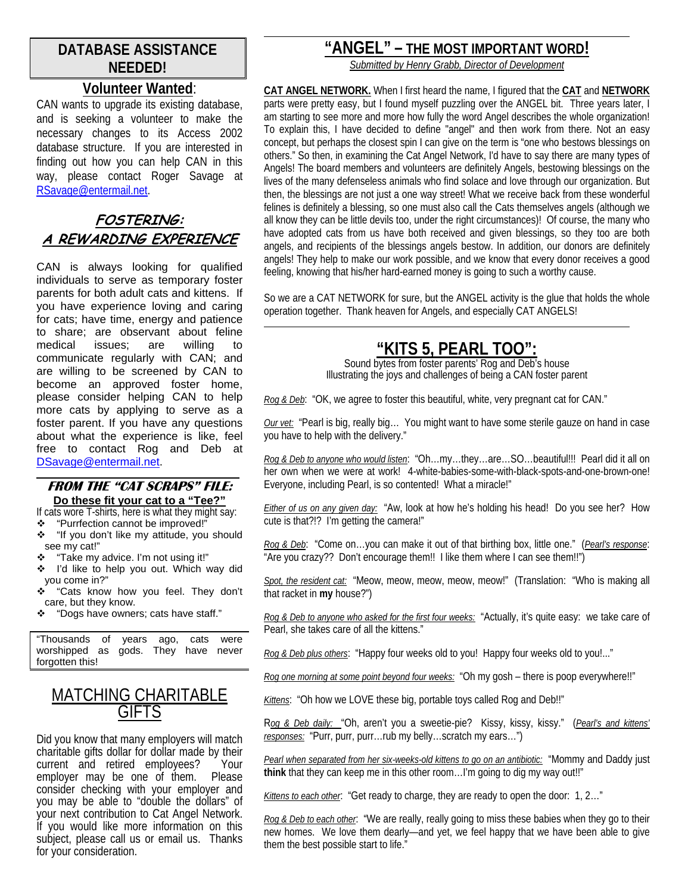# **DATABASE ASSISTANCE NEEDED!**

# **Volunteer Wanted**:

CAN wants to upgrade its existing database, and is seeking a volunteer to make the necessary changes to its Access 2002 database structure. If you are interested in finding out how you can help CAN in this way, please contact Roger Savage at RSavage@entermail.net.

# **FOSTERING: A REWARDING EXPERIENCE**

CAN is always looking for qualified individuals to serve as temporary foster parents for both adult cats and kittens. If you have experience loving and caring for cats; have time, energy and patience to share; are observant about feline medical issues; are willing to communicate regularly with CAN; and are willing to be screened by CAN to become an approved foster home, please consider helping CAN to help more cats by applying to serve as a foster parent. If you have any questions about what the experience is like, feel free to contact Rog and Deb at DSavage@entermail.net.

#### **FROM THE "CAT SCRAPS" FILE: Do these fit your cat to a "Tee?"**

If cats wore T-shirts, here is what they might say:

l

- \* "Purrfection cannot be improved!"<br>\* "If you don't like my attitude. you "If you don't like my attitude, you should see my cat!"
- \* "Take my advice. I'm not using it!"
- ❖ I'd like to help you out. Which way did you come in?"
- \* "Cats know how you feel. They don't care, but they know.
- \* "Dogs have owners; cats have staff."

"Thousands of years ago, cats were gods. They have never forgotten this!

# MATCHING CHARITABLE **GIFTS**

Did you know that many employers will match charitable gifts dollar for dollar made by their current and retired employees? Your employer may be one of them. Please consider checking with your employer and you may be able to "double the dollars" of your next contribution to Cat Angel Network. If you would like more information on this subject, please call us or email us. Thanks for your consideration.

# **"ANGEL" – THE MOST IMPORTANT WORD!**

*Submitted by Henry Grabb, Director of Development*

**CAT ANGEL NETWORK.** When I first heard the name, I figured that the **CAT** and **NETWORK** parts were pretty easy, but I found myself puzzling over the ANGEL bit. Three years later, I am starting to see more and more how fully the word Angel describes the whole organization! To explain this, I have decided to define "angel" and then work from there. Not an easy concept, but perhaps the closest spin I can give on the term is "one who bestows blessings on others." So then, in examining the Cat Angel Network, I'd have to say there are many types of Angels! The board members and volunteers are definitely Angels, bestowing blessings on the lives of the many defenseless animals who find solace and love through our organization. But then, the blessings are not just a one way street! What we receive back from these wonderful felines is definitely a blessing, so one must also call the Cats themselves angels (although we all know they can be little devils too, under the right circumstances)! Of course, the many who have adopted cats from us have both received and given blessings, so they too are both angels, and recipients of the blessings angels bestow. In addition, our donors are definitely angels! They help to make our work possible, and we know that every donor receives a good feeling, knowing that his/her hard-earned money is going to such a worthy cause.

So we are a CAT NETWORK for sure, but the ANGEL activity is the glue that holds the whole operation together. Thank heaven for Angels, and especially CAT ANGELS! l

# **"KITS 5, PEARL TOO":**

Sound bytes from foster parents' Rog and Deb's house Illustrating the joys and challenges of being a CAN foster parent

*Rog & Deb*: "OK, we agree to foster this beautiful, white, very pregnant cat for CAN."

*Our vet:* "Pearl is big, really big… You might want to have some sterile gauze on hand in case you have to help with the delivery."

*Rog & Deb to anyone who would listen*: "Oh…my…they…are…SO…beautiful!!! Pearl did it all on her own when we were at work! 4-white-babies-some-with-black-spots-and-one-brown-one! Everyone, including Pearl, is so contented! What a miracle!"

*Either of us on any given day:* "Aw, look at how he's holding his head! Do you see her? How cute is that?!? I'm getting the camera!"

*Rog & Deb*: "Come on…you can make it out of that birthing box, little one." (*Pearl's response*: "Are you crazy?? Don't encourage them!! I like them where I can see them!!")

*Spot, the resident cat:* "Meow, meow, meow, meow, meow!" (Translation: "Who is making all that racket in **my** house?")

*Rog & Deb to anyone who asked for the first four weeks:* "Actually, it's quite easy: we take care of Pearl, she takes care of all the kittens."

*Rog & Deb plus others*: "Happy four weeks old to you! Happy four weeks old to you!..."

*Rog one morning at some point beyond four weeks:* "Oh my gosh – there is poop everywhere!!"

*Kittens*: "Oh how we LOVE these big, portable toys called Rog and Deb!!"

R*og & Deb daily:* "Oh, aren't you a sweetie-pie? Kissy, kissy, kissy." (*Pearl's and kittens' responses:* "Purr, purr, purr…rub my belly…scratch my ears…")

*Pearl when separated from her six-weeks-old kittens to go on an antibiotic:* "Mommy and Daddy just **think** that they can keep me in this other room…I'm going to dig my way out!!"

*Kittens to each other*: "Get ready to charge, they are ready to open the door: 1, 2…"

*Rog & Deb to each other*: "We are really, really going to miss these babies when they go to their new homes. We love them dearly—and yet, we feel happy that we have been able to give them the best possible start to life."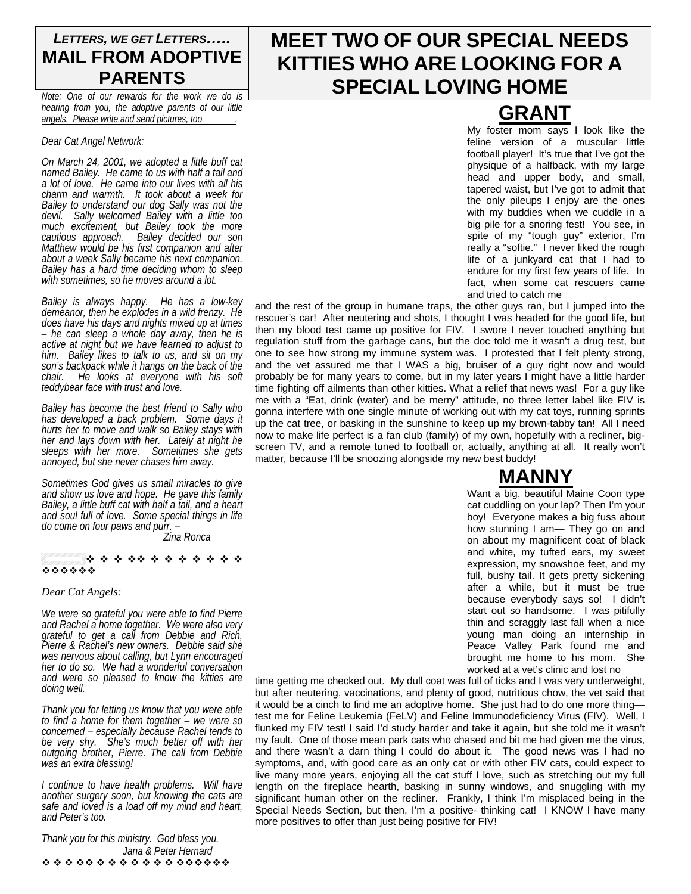# *LETTERS, WE GET LETTERS…..* **MAIL FROM ADOPTIVE PARENTS**

*Note: One of our rewards for the work we do is hearing from you, the adoptive parents of our little angels. Please write and send pictures, too .*

#### *Dear Cat Angel Network:*

*On March 24, 2001, we adopted a little buff cat named Bailey. He came to us with half a tail and a lot of love. He came into our lives with all his charm and warmth. It took about a week for Bailey to understand our dog Sally was not the devil. Sally welcomed Bailey with a little too much excitement, but Bailey took the more cautious approach. Bailey decided our son Matthew would be his first companion and after about a week Sally became his next companion. Bailey has a hard time deciding whom to sleep with sometimes, so he moves around a lot.* 

*Bailey is always happy. He has a low-key demeanor, then he explodes in a wild frenzy. He does have his days and nights mixed up at times – he can sleep a whole day away, then he is active at night but we have learned to adjust to him. Bailey likes to talk to us, and sit on my son's backpack while it hangs on the back of the chair. He looks at everyone with his soft teddybear face with trust and love.* 

*Bailey has become the best friend to Sally who has developed a back problem. Some days it hurts her to move and walk so Bailey stays with her and lays down with her. Lately at night he sleeps with her more. Sometimes she gets annoyed, but she never chases him away.* 

*Sometimes God gives us small miracles to give and show us love and hope. He gave this family Bailey, a little buff cat with half a tail, and a heart and soul full of love. Some special things in life do come on four paws and purr. –* 

 *Zina Ronca* 

#### \* \* \* \*\* \* \* \* \* \* \* \* \* \*\*\*\*\*\*

*Dear Cat Angels:* 

*We were so grateful you were able to find Pierre and Rachel a home together. We were also very grateful to get a call from Debbie and Rich, Pierre & Rachel's new owners. Debbie said she was nervous about calling, but Lynn encouraged her to do so. We had a wonderful conversation and were so pleased to know the kitties are doing well.* 

*Thank you for letting us know that you were able to find a home for them together – we were so concerned – especially because Rachel tends to be very shy. She's much better off with her outgoing brother, Pierre. The call from Debbie was an extra blessing!* 

*I continue to have health problems. Will have another surgery soon, but knowing the cats are safe and loved is a load off my mind and heart, and Peter's too.* 

*Thank you for this ministry. God bless you. Jana & Peter Hernard*  \*\*\*\*\*\*\*\*\*\*\*\*\*\*\*\*\*\*

# **MEET TWO OF OUR SPECIAL NEEDS KITTIES WHO ARE LOOKING FOR A SPECIAL LOVING HOME**

 **GRANT** My foster mom says I look like the feline version of a muscular little football player! It's true that I've got the physique of a halfback, with my large head and upper body, and small, tapered waist, but I've got to admit that the only pileups I enjoy are the ones with my buddies when we cuddle in a big pile for a snoring fest! You see, in spite of my "tough guy" exterior, I'm really a "softie." I never liked the rough life of a junkyard cat that I had to endure for my first few years of life. In fact, when some cat rescuers came and tried to catch me

and the rest of the group in humane traps, the other guys ran, but I jumped into the rescuer's car! After neutering and shots, I thought I was headed for the good life, but then my blood test came up positive for FIV. I swore I never touched anything but regulation stuff from the garbage cans, but the doc told me it wasn't a drug test, but one to see how strong my immune system was. I protested that I felt plenty strong, and the vet assured me that I WAS a big, bruiser of a guy right now and would probably be for many years to come, but in my later years I might have a little harder time fighting off ailments than other kitties. What a relief that news was! For a guy like me with a "Eat, drink (water) and be merry" attitude, no three letter label like FIV is gonna interfere with one single minute of working out with my cat toys, running sprints up the cat tree, or basking in the sunshine to keep up my brown-tabby tan! All I need now to make life perfect is a fan club (family) of my own, hopefully with a recliner, bigscreen TV, and a remote tuned to football or, actually, anything at all. It really won't matter, because I'll be snoozing alongside my new best buddy!

# **MANNY**

Want a big, beautiful Maine Coon type cat cuddling on your lap? Then I'm your boy! Everyone makes a big fuss about how stunning I am— They go on and on about my magnificent coat of black and white, my tufted ears, my sweet expression, my snowshoe feet, and my full, bushy tail. It gets pretty sickening after a while, but it must be true because everybody says so! I didn't start out so handsome. I was pitifully thin and scraggly last fall when a nice young man doing an internship in Peace Valley Park found me and brought me home to his mom. She worked at a vet's clinic and lost no

time getting me checked out. My dull coat was full of ticks and I was very underweight, but after neutering, vaccinations, and plenty of good, nutritious chow, the vet said that it would be a cinch to find me an adoptive home. She just had to do one more thing test me for Feline Leukemia (FeLV) and Feline Immunodeficiency Virus (FIV). Well, I flunked my FIV test! I said I'd study harder and take it again, but she told me it wasn't my fault. One of those mean park cats who chased and bit me had given me the virus, and there wasn't a darn thing I could do about it. The good news was I had no symptoms, and, with good care as an only cat or with other FIV cats, could expect to live many more years, enjoying all the cat stuff I love, such as stretching out my full length on the fireplace hearth, basking in sunny windows, and snuggling with my significant human other on the recliner. Frankly, I think I'm misplaced being in the Special Needs Section, but then, I'm a positive- thinking cat! I KNOW I have many more positives to offer than just being positive for FIV!